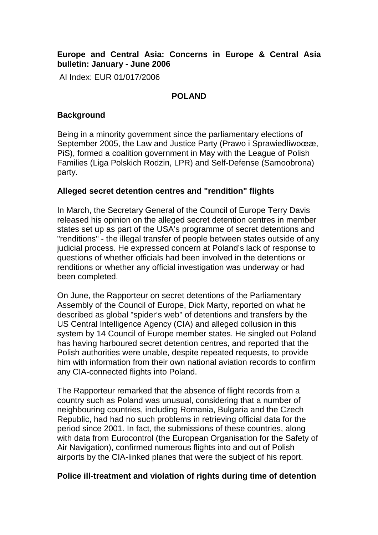# **Europe and Central Asia: Concerns in Europe & Central Asia bulletin: January - June 2006**

AI Index: EUR 01/017/2006

#### **POLAND**

## **Background**

Being in a minority government since the parliamentary elections of September 2005, the Law and Justice Party (Prawo i SprawiedliwoϾ, PiS), formed a coalition government in May with the League of Polish Families (Liga Polskich Rodzin, LPR) and Self-Defense (Samoobrona) party.

## **Alleged secret detention centres and "rendition" flights**

In March, the Secretary General of the Council of Europe Terry Davis released his opinion on the alleged secret detention centres in member states set up as part of the USA's programme of secret detentions and "renditions" - the illegal transfer of people between states outside of any judicial process. He expressed concern at Poland's lack of response to questions of whether officials had been involved in the detentions or renditions or whether any official investigation was underway or had been completed.

On June, the Rapporteur on secret detentions of the Parliamentary Assembly of the Council of Europe, Dick Marty, reported on what he described as global "spider's web" of detentions and transfers by the US Central Intelligence Agency (CIA) and alleged collusion in this system by 14 Council of Europe member states. He singled out Poland has having harboured secret detention centres, and reported that the Polish authorities were unable, despite repeated requests, to provide him with information from their own national aviation records to confirm any CIA-connected flights into Poland.

The Rapporteur remarked that the absence of flight records from a country such as Poland was unusual, considering that a number of neighbouring countries, including Romania, Bulgaria and the Czech Republic, had had no such problems in retrieving official data for the period since 2001. In fact, the submissions of these countries, along with data from Eurocontrol (the European Organisation for the Safety of Air Navigation), confirmed numerous flights into and out of Polish airports by the CIA-linked planes that were the subject of his report.

## **Police ill-treatment and violation of rights during time of detention**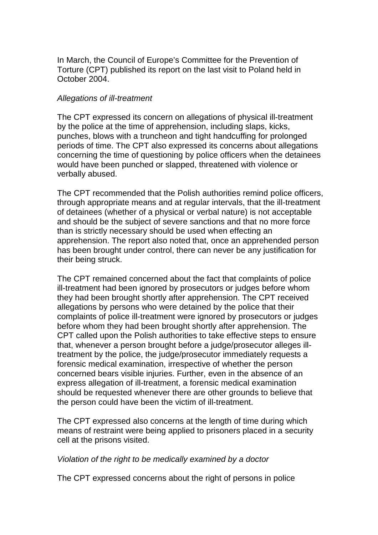In March, the Council of Europe's Committee for the Prevention of Torture (CPT) published its report on the last visit to Poland held in October 2004.

#### Allegations of ill-treatment

The CPT expressed its concern on allegations of physical ill-treatment by the police at the time of apprehension, including slaps, kicks, punches, blows with a truncheon and tight handcuffing for prolonged periods of time. The CPT also expressed its concerns about allegations concerning the time of questioning by police officers when the detainees would have been punched or slapped, threatened with violence or verbally abused.

The CPT recommended that the Polish authorities remind police officers, through appropriate means and at regular intervals, that the ill-treatment of detainees (whether of a physical or verbal nature) is not acceptable and should be the subject of severe sanctions and that no more force than is strictly necessary should be used when effecting an apprehension. The report also noted that, once an apprehended person has been brought under control, there can never be any justification for their being struck.

The CPT remained concerned about the fact that complaints of police ill-treatment had been ignored by prosecutors or judges before whom they had been brought shortly after apprehension. The CPT received allegations by persons who were detained by the police that their complaints of police ill-treatment were ignored by prosecutors or judges before whom they had been brought shortly after apprehension. The CPT called upon the Polish authorities to take effective steps to ensure that, whenever a person brought before a judge/prosecutor alleges illtreatment by the police, the judge/prosecutor immediately requests a forensic medical examination, irrespective of whether the person concerned bears visible injuries. Further, even in the absence of an express allegation of ill-treatment, a forensic medical examination should be requested whenever there are other grounds to believe that the person could have been the victim of ill-treatment.

The CPT expressed also concerns at the length of time during which means of restraint were being applied to prisoners placed in a security cell at the prisons visited.

#### Violation of the right to be medically examined by a doctor

The CPT expressed concerns about the right of persons in police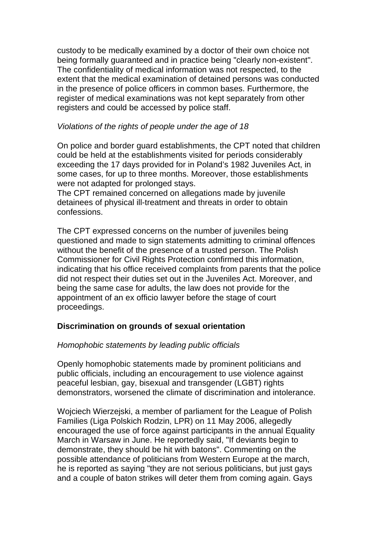custody to be medically examined by a doctor of their own choice not being formally guaranteed and in practice being "clearly non-existent". The confidentiality of medical information was not respected, to the extent that the medical examination of detained persons was conducted in the presence of police officers in common bases. Furthermore, the register of medical examinations was not kept separately from other registers and could be accessed by police staff.

#### Violations of the rights of people under the age of 18

On police and border guard establishments, the CPT noted that children could be held at the establishments visited for periods considerably exceeding the 17 days provided for in Poland's 1982 Juveniles Act, in some cases, for up to three months. Moreover, those establishments were not adapted for prolonged stays.

The CPT remained concerned on allegations made by juvenile detainees of physical ill-treatment and threats in order to obtain confessions.

The CPT expressed concerns on the number of juveniles being questioned and made to sign statements admitting to criminal offences without the benefit of the presence of a trusted person. The Polish Commissioner for Civil Rights Protection confirmed this information, indicating that his office received complaints from parents that the police did not respect their duties set out in the Juveniles Act. Moreover, and being the same case for adults, the law does not provide for the appointment of an ex officio lawyer before the stage of court proceedings.

## **Discrimination on grounds of sexual orientation**

## Homophobic statements by leading public officials

Openly homophobic statements made by prominent politicians and public officials, including an encouragement to use violence against peaceful lesbian, gay, bisexual and transgender (LGBT) rights demonstrators, worsened the climate of discrimination and intolerance.

Wojciech Wierzejski, a member of parliament for the League of Polish Families (Liga Polskich Rodzin, LPR) on 11 May 2006, allegedly encouraged the use of force against participants in the annual Equality March in Warsaw in June. He reportedly said, "If deviants begin to demonstrate, they should be hit with batons". Commenting on the possible attendance of politicians from Western Europe at the march, he is reported as saying "they are not serious politicians, but just gays and a couple of baton strikes will deter them from coming again. Gays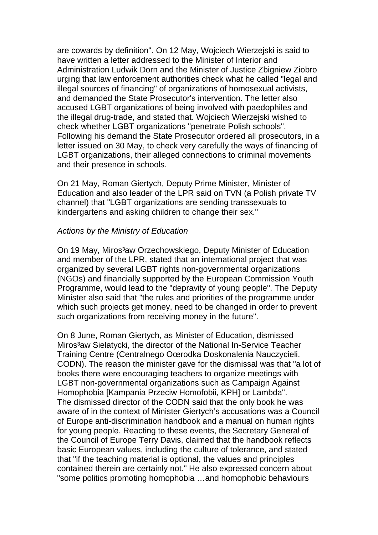are cowards by definition". On 12 May, Wojciech Wierzejski is said to have written a letter addressed to the Minister of Interior and Administration Ludwik Dorn and the Minister of Justice Zbigniew Ziobro urging that law enforcement authorities check what he called "legal and illegal sources of financing" of organizations of homosexual activists, and demanded the State Prosecutor's intervention. The letter also accused LGBT organizations of being involved with paedophiles and the illegal drug-trade, and stated that. Wojciech Wierzejski wished to check whether LGBT organizations "penetrate Polish schools". Following his demand the State Prosecutor ordered all prosecutors, in a letter issued on 30 May, to check very carefully the ways of financing of LGBT organizations, their alleged connections to criminal movements and their presence in schools.

On 21 May, Roman Giertych, Deputy Prime Minister, Minister of Education and also leader of the LPR said on TVN (a Polish private TV channel) that "LGBT organizations are sending transsexuals to kindergartens and asking children to change their sex."

#### Actions by the Ministry of Education

On 19 May, Miros<sup>3</sup>aw Orzechowskiego, Deputy Minister of Education and member of the LPR, stated that an international project that was organized by several LGBT rights non-governmental organizations (NGOs) and financially supported by the European Commission Youth Programme, would lead to the "depravity of young people". The Deputy Minister also said that "the rules and priorities of the programme under which such projects get money, need to be changed in order to prevent such organizations from receiving money in the future".

On 8 June, Roman Giertych, as Minister of Education, dismissed Miros<sup>3</sup>aw Sielatycki, the director of the National In-Service Teacher Training Centre (Centralnego Oœrodka Doskonalenia Nauczycieli, CODN). The reason the minister gave for the dismissal was that "a lot of books there were encouraging teachers to organize meetings with LGBT non-governmental organizations such as Campaign Against Homophobia [Kampania Przeciw Homofobii, KPH] or Lambda". The dismissed director of the CODN said that the only book he was aware of in the context of Minister Giertych's accusations was a Council of Europe anti-discrimination handbook and a manual on human rights for young people. Reacting to these events, the Secretary General of the Council of Europe Terry Davis, claimed that the handbook reflects basic European values, including the culture of tolerance, and stated that "if the teaching material is optional, the values and principles contained therein are certainly not." He also expressed concern about "some politics promoting homophobia …and homophobic behaviours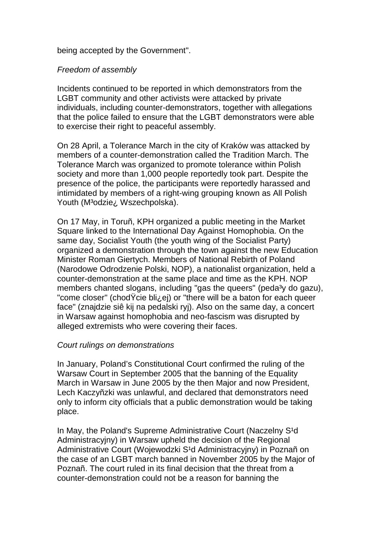being accepted by the Government".

# Freedom of assembly

Incidents continued to be reported in which demonstrators from the LGBT community and other activists were attacked by private individuals, including counter-demonstrators, together with allegations that the police failed to ensure that the LGBT demonstrators were able to exercise their right to peaceful assembly.

On 28 April, a Tolerance March in the city of Kraków was attacked by members of a counter-demonstration called the Tradition March. The Tolerance March was organized to promote tolerance within Polish society and more than 1,000 people reportedly took part. Despite the presence of the police, the participants were reportedly harassed and intimidated by members of a right-wing grouping known as All Polish Youth (M<sup>3</sup>odzie<sub>i</sub>, Wszechpolska).

On 17 May, in Toruñ, KPH organized a public meeting in the Market Square linked to the International Day Against Homophobia. On the same day, Socialist Youth (the youth wing of the Socialist Party) organized a demonstration through the town against the new Education Minister Roman Giertych. Members of National Rebirth of Poland (Narodowe Odrodzenie Polski, NOP), a nationalist organization, held a counter-demonstration at the same place and time as the KPH. NOP members chanted slogans, including "gas the queers" (peda<sup>3</sup>y do gazu), "come closer" (chodŸcie bli¿ej) or "there will be a baton for each queer face" (znajdzie siê kij na pedalski ryj). Also on the same day, a concert in Warsaw against homophobia and neo-fascism was disrupted by alleged extremists who were covering their faces.

## Court rulings on demonstrations

In January, Poland's Constitutional Court confirmed the ruling of the Warsaw Court in September 2005 that the banning of the Equality March in Warsaw in June 2005 by the then Major and now President, Lech Kaczyñzki was unlawful, and declared that demonstrators need only to inform city officials that a public demonstration would be taking place.

In May, the Poland's Supreme Administrative Court (Naczelny S<sup>1</sup>d) Administracyjny) in Warsaw upheld the decision of the Regional Administrative Court (Wojewodzki S<sup>1</sup>d Administracyjny) in Poznañ on the case of an LGBT march banned in November 2005 by the Major of Poznañ. The court ruled in its final decision that the threat from a counter-demonstration could not be a reason for banning the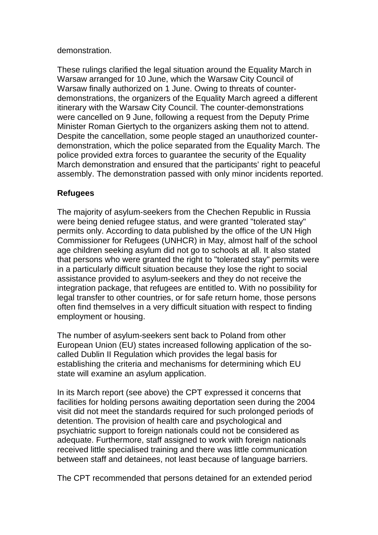## demonstration.

These rulings clarified the legal situation around the Equality March in Warsaw arranged for 10 June, which the Warsaw City Council of Warsaw finally authorized on 1 June. Owing to threats of counterdemonstrations, the organizers of the Equality March agreed a different itinerary with the Warsaw City Council. The counter-demonstrations were cancelled on 9 June, following a request from the Deputy Prime Minister Roman Giertych to the organizers asking them not to attend. Despite the cancellation, some people staged an unauthorized counterdemonstration, which the police separated from the Equality March. The police provided extra forces to guarantee the security of the Equality March demonstration and ensured that the participants' right to peaceful assembly. The demonstration passed with only minor incidents reported.

# **Refugees**

The majority of asylum-seekers from the Chechen Republic in Russia were being denied refugee status, and were granted "tolerated stay" permits only. According to data published by the office of the UN High Commissioner for Refugees (UNHCR) in May, almost half of the school age children seeking asylum did not go to schools at all. It also stated that persons who were granted the right to "tolerated stay" permits were in a particularly difficult situation because they lose the right to social assistance provided to asylum-seekers and they do not receive the integration package, that refugees are entitled to. With no possibility for legal transfer to other countries, or for safe return home, those persons often find themselves in a very difficult situation with respect to finding employment or housing.

The number of asylum-seekers sent back to Poland from other European Union (EU) states increased following application of the socalled Dublin II Regulation which provides the legal basis for establishing the criteria and mechanisms for determining which EU state will examine an asylum application.

In its March report (see above) the CPT expressed it concerns that facilities for holding persons awaiting deportation seen during the 2004 visit did not meet the standards required for such prolonged periods of detention. The provision of health care and psychological and psychiatric support to foreign nationals could not be considered as adequate. Furthermore, staff assigned to work with foreign nationals received little specialised training and there was little communication between staff and detainees, not least because of language barriers.

The CPT recommended that persons detained for an extended period